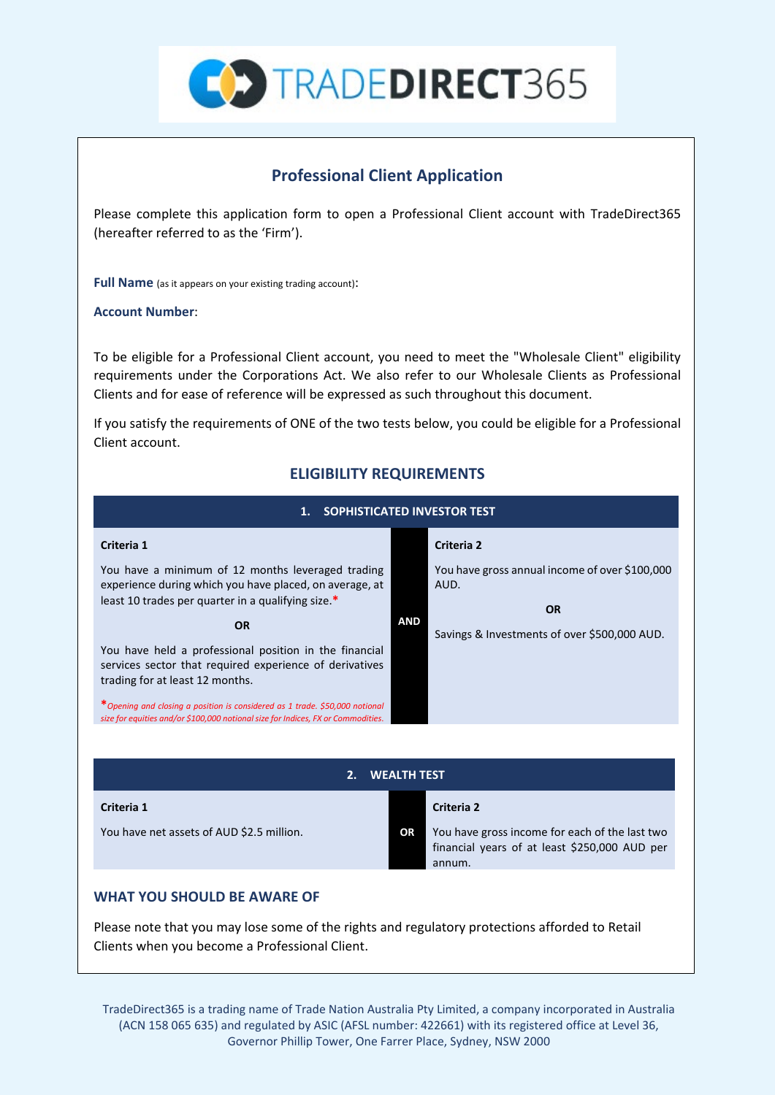

## **Professional Client Application**

Please complete this application form to open a Professional Client account with TradeDirect365 (hereafter referred to as the 'Firm').

**Full Name** (as it appears on your existing trading account):

**Account Number**:

To be eligible for a Professional Client account, you need to meet the "Wholesale Client" eligibility requirements under the Corporations Act. We also refer to our Wholesale Clients as Professional Clients and for ease of reference will be expressed as such throughout this document.

If you satisfy the requirements of ONE of the two tests below, you could be eligible for a Professional Client account.

## **ELIGIBILITY REQUIREMENTS**

| SOPHISTICATED INVESTOR TEST<br>1.                                                                                                                                  |            |                                                                     |  |  |  |
|--------------------------------------------------------------------------------------------------------------------------------------------------------------------|------------|---------------------------------------------------------------------|--|--|--|
| Criteria 1                                                                                                                                                         |            | <b>Criteria 2</b>                                                   |  |  |  |
| You have a minimum of 12 months leveraged trading<br>experience during which you have placed, on average, at<br>least 10 trades per quarter in a qualifying size.* |            | You have gross annual income of over \$100,000<br>AUD.<br><b>OR</b> |  |  |  |
| <b>OR</b><br>You have held a professional position in the financial<br>services sector that required experience of derivatives<br>trading for at least 12 months.  | <b>AND</b> | Savings & Investments of over \$500,000 AUD.                        |  |  |  |
| *Opening and closing a position is considered as 1 trade. \$50,000 notional<br>size for equities and/or \$100,000 notional size for Indices, FX or Commodities.    |            |                                                                     |  |  |  |

| <b>WEALTH TEST</b>                        |  |    |                                                                                                           |  |  |
|-------------------------------------------|--|----|-----------------------------------------------------------------------------------------------------------|--|--|
| Criteria 1                                |  |    | Criteria 2                                                                                                |  |  |
| You have net assets of AUD \$2.5 million. |  | OR | You have gross income for each of the last two<br>financial years of at least \$250,000 AUD per<br>annum. |  |  |

## **WHAT YOU SHOULD BE AWARE OF**

Please note that you may lose some of the rights and regulatory protections afforded to Retail Clients when you become a Professional Client.

TradeDirect365 is a trading name of Trade Nation Australia Pty Limited, a company incorporated in Australia (ACN 158 065 635) and regulated by ASIC (AFSL number: 422661) with its registered office at Level 36, Governor Phillip Tower, One Farrer Place, Sydney, NSW 2000